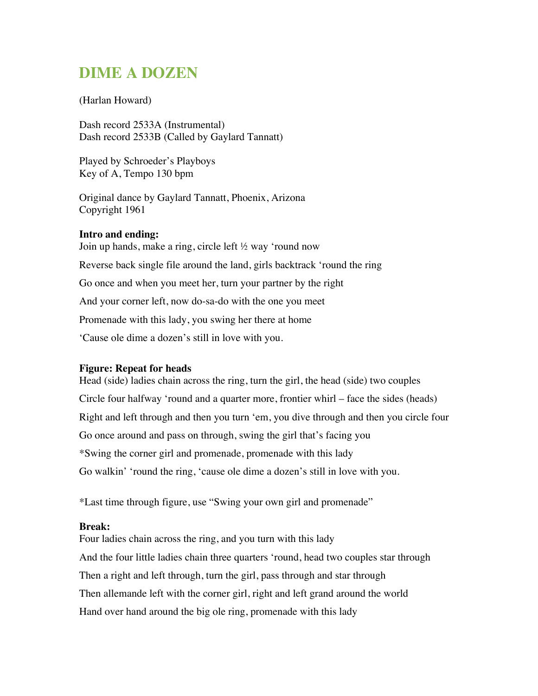# **DIME A DOZEN**

## (Harlan Howard)

Dash record 2533A (Instrumental) Dash record 2533B (Called by Gaylard Tannatt)

Played by Schroeder's Playboys Key of A, Tempo 130 bpm

Original dance by Gaylard Tannatt, Phoenix, Arizona Copyright 1961

### **Intro and ending:**

Join up hands, make a ring, circle left ½ way 'round now Reverse back single file around the land, girls backtrack 'round the ring Go once and when you meet her, turn your partner by the right And your corner left, now do-sa-do with the one you meet Promenade with this lady, you swing her there at home 'Cause ole dime a dozen's still in love with you.

### **Figure: Repeat for heads**

Head (side) ladies chain across the ring, turn the girl, the head (side) two couples Circle four halfway 'round and a quarter more, frontier whirl – face the sides (heads) Right and left through and then you turn 'em, you dive through and then you circle four Go once around and pass on through, swing the girl that's facing you \*Swing the corner girl and promenade, promenade with this lady Go walkin' 'round the ring, 'cause ole dime a dozen's still in love with you.

\*Last time through figure, use "Swing your own girl and promenade"

### **Break:**

Four ladies chain across the ring, and you turn with this lady And the four little ladies chain three quarters 'round, head two couples star through Then a right and left through, turn the girl, pass through and star through Then allemande left with the corner girl, right and left grand around the world Hand over hand around the big ole ring, promenade with this lady